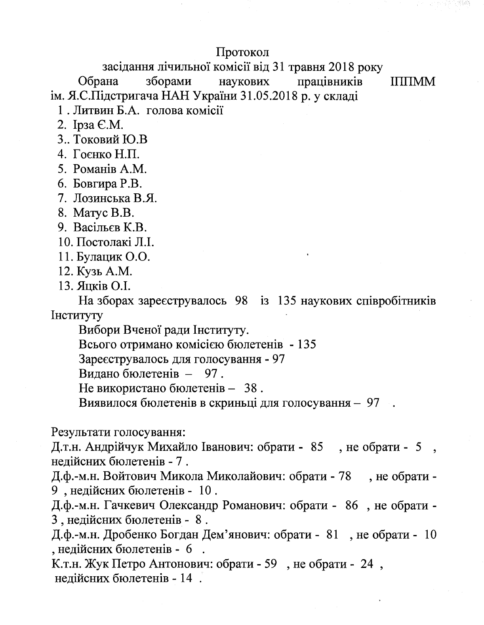## Протокол

засідання лічильної комісії від 31 травня 2018 року

Обрана зборами наукових працівників ім. Я.С.Підстригача НАН України 31.05.2018 р. у складі

**IIIIIMM** 

1. Литвин Б.А. голова комісії

- 2. Ірза Є.М.
- 3.. Токовий Ю.В
- 4. Гоєнко Н.П.
- 5. Романів А.М.
- 6. Бовгира Р.В.
- 7. Лозинська В.Я.
- 8. Maryc B.B.
- 9. Васільєв К.В.
- 10. Постолакі Л.І.
- 11. Булацик О.О.
- 12. Кузь А.М.
- 13. Яцків О.І.

На зборах зареєструвалось 98 із 135 наукових співробітників Інституту

Вибори Вченої ради Інституту.

Всього отримано комісією бюлетенів - 135

Зареєструвалось для голосування - 97

Видано бюлетенів - 97.

Не використано бюлетенів - 38.

Виявилося бюлетенів в скриньці для голосування - 97

Результати голосування:

Д.т.н. Андрійчук Михайло Іванович: обрати - 85, не обрати - 5, недійсних бюлетенів - 7.

Д.ф.-м.н. Войтович Микола Миколайович: обрати - 78, не обрати -9, недійсних бюлетенів - 10.

Д.ф.-м.н. Гачкевич Олександр Романович: обрати - 86, не обрати -3, недійсних бюлетенів - 8.

Д.ф.-м.н. Дробенко Богдан Дем'янович: обрати - 81, не обрати - 10 , недійсних бюлетенів - 6.

К.т.н. Жук Петро Антонович: обрати - 59, не обрати - 24, нелійсних бюлетенів - 14.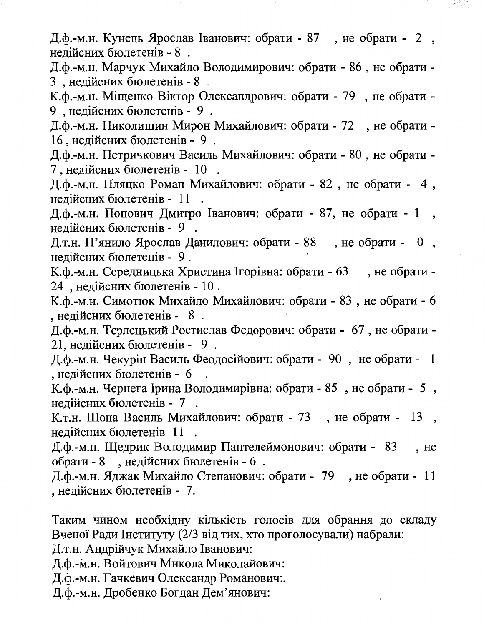Д.ф.-м.н. Кунець Ярослав Іванович: обрати - 87, не обрати - 2, нелійсних бюлетенів - 8.

Д.ф.-м.н. Марчук Михайло Володимирович: обрати - 86, не обрати -3, недійсних бюлетенів - 8.

К.ф.-м.н. Міщенко Віктор Олександрович: обрати - 79, не обрати -9, недійсних бюлетенів - 9.

Д.ф.-м.н. Николишин Мирон Михайлович: обрати - 72, не обрати -16, недійсних бюлетенів - 9.

Д.ф.-м.н. Петричкович Василь Михайлович: обрати - 80, не обрати -7 , недійсних бюлетенів - 10.

Д.ф.-м.н. Пляцко Роман Михайлович: обрати - 82, не обрати - 4, недійсних бюлетенів - 11.

Д.ф.-м.н. Попович Дмитро Іванович: обрати - 87, не обрати - 1, недійсних бюлетенів - 9.

Д.т.н. П'янило Ярослав Данилович: обрати - 88, не обрати - 0, нелійсних бюлетенів - 9.

К.ф.-м.н. Середницька Христина Ігорівна: обрати - 63, не обрати -24, недійсних бюлетенів - 10.

К.ф.-м.н. Симотюк Михайло Михайлович: обрати - 83, не обрати - 6 , недійсних бюлетенів - 8.

Д.ф.-м.н. Терлецький Ростислав Федорович: обрати - 67, не обрати -21. недійсних бюлетенів - 9.

Д.ф.-м.н. Чекурін Василь Феодосійович: обрати - 90, не обрати - 1 , недійсних бюлетенів - 6

К.ф.-м.н. Чернега Ірина Володимирівна: обрати - 85, не обрати - 5, недійсних бюлетенів - 7.

К.т.н. Шопа Василь Михайлович: обрати - 73, не обрати - 13, недійсних бюлетенів 11.

Д.ф.-м.н. Щедрик Володимир Пантелеймонович: обрати - 83, не обрати - 8, недійсних бюлетенів - 6.

Д.ф.-м.н. Яджак Михайло Степанович: обрати - 79, не обрати - 11 , недійсних бюлетенів - 7.

Таким чином необхідну кількість голосів для обрання до складу Вченої Ради Інституту (2/3 від тих, хто проголосували) набрали:

Д.т.н. Андрійчук Михайло Іванович:

Д.ф.-м.н. Войтович Микола Миколайович:

Д.ф.-м.н. Гачкевич Олександр Романович:.

Д.ф.-м.н. Дробенко Богдан Дем'янович: